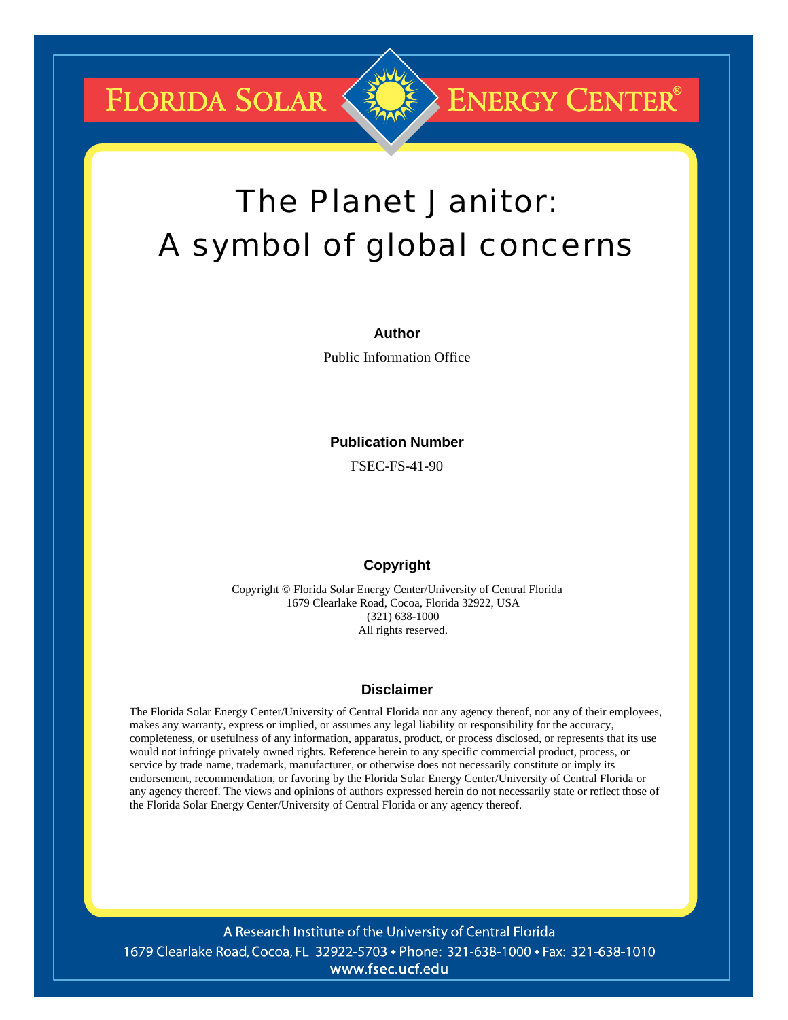**FLORIDA SOLAR** 

# The Planet Janitor: A symbol of global concerns

**ENERGY CENTER®** 

#### **Author**

Public Information Office

#### **Publication Number**

FSEC-FS-41-90

### **Copyright**

Copyright © Florida Solar Energy Center/University of Central Florida 1679 Clearlake Road, Cocoa, Florida 32922, USA (321) 638-1000 All rights reserved.

#### **Disclaimer**

The Florida Solar Energy Center/University of Central Florida nor any agency thereof, nor any of their employees, makes any warranty, express or implied, or assumes any legal liability or responsibility for the accuracy, completeness, or usefulness of any information, apparatus, product, or process disclosed, or represents that its use would not infringe privately owned rights. Reference herein to any specific commercial product, process, or service by trade name, trademark, manufacturer, or otherwise does not necessarily constitute or imply its endorsement, recommendation, or favoring by the Florida Solar Energy Center/University of Central Florida or any agency thereof. The views and opinions of authors expressed herein do not necessarily state or reflect those of the Florida Solar Energy Center/University of Central Florida or any agency thereof.

A Research Institute of the University of Central Florida 1679 Clearlake Road, Cocoa, FL 32922-5703 • Phone: 321-638-1000 • Fax: 321-638-1010 www.fsec.ucf.edu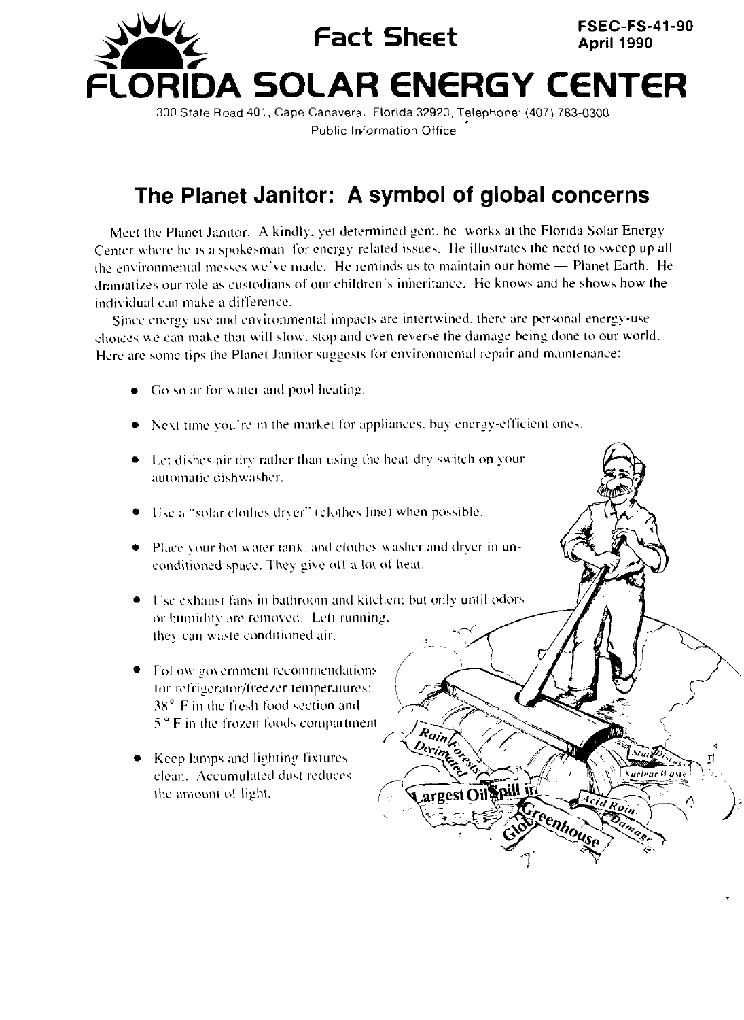

**Public Information Office** 

## The Planet Janitor: A symbol of global concerns

Meet the Planet Janitor. A kindly, yet determined gent, he works at the Florida Solar Energy Center where he is a spokesman for energy-related issues. He illustrates the need to sweep up all the environmental messes we've made. He reminds us to maintain our home - Planet Earth. He dramatizes our role as custodians of our children's inheritance. He knows and he shows how the individual can make a difference.

Since energy use and environmental impacts are intertwined, there are personal energy-use choices we can make that will slow, stop and even reverse the damage being done to our world. Here are some tips the Planet Janitor suggests for environmental repair and maintenance:

- Go solar for water and pool heating.
- Next time you're in the market for appliances, buy energy-efficient ones.
- Let dishes air dry rather than using the heat-dry switch on your automatic dishwasher.
- Use a "solar clothes dryer" (clothes line) when possible.
- Place your hot water tank, and clothes washer and dryer in unconditioned space. They give off a lot of heat.
- Use exhaust fans in bathroom and kitchen: but only until odors or humidity are removed. Left running, they can waste conditioned air.

Rainleyer

argest Oil Spill in

Startes

Rain

reenhouse

*Nuclear Waste* 

Kurantere

- Follow government recommendations for refrigerator/freezer temperatures:  $38^\circ$  F in the fresh food section and  $5^{\circ}$  F in the frozen foods compartment.
- Keep lamps and lighting fixtures clean. Accumulated dust reduces the amount of light.